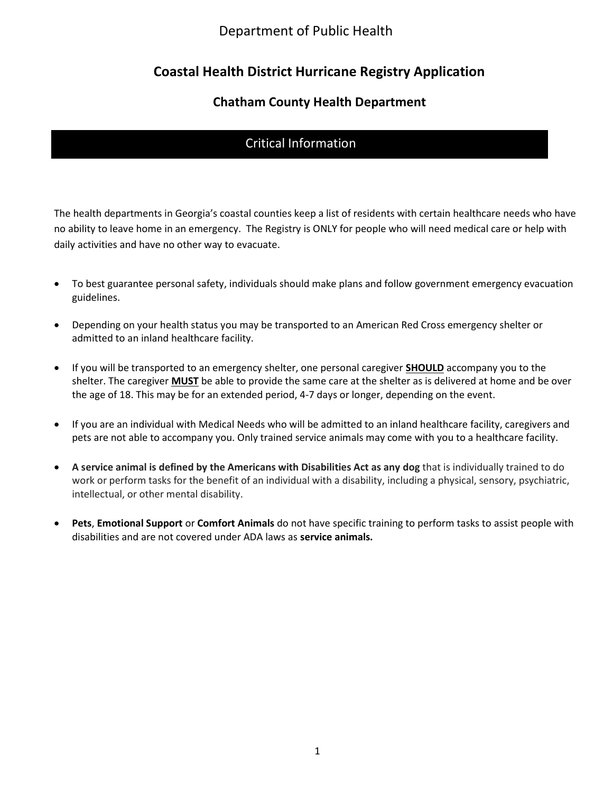# Coastal Health District Hurricane Registry Application

### Chatham County Health Department

### Critical Information

The health departments in Georgia's coastal counties keep a list of residents with certain healthcare needs who have no ability to leave home in an emergency. The Registry is ONLY for people who will need medical care or help with daily activities and have no other way to evacuate.

- To best guarantee personal safety, individuals should make plans and follow government emergency evacuation guidelines.
- Depending on your health status you may be transported to an American Red Cross emergency shelter or admitted to an inland healthcare facility.
- If you will be transported to an emergency shelter, one personal caregiver **SHOULD** accompany you to the shelter. The caregiver MUST be able to provide the same care at the shelter as is delivered at home and be over the age of 18. This may be for an extended period, 4-7 days or longer, depending on the event.
- If you are an individual with Medical Needs who will be admitted to an inland healthcare facility, caregivers and pets are not able to accompany you. Only trained service animals may come with you to a healthcare facility.
- A service animal is defined by the Americans with Disabilities Act as any dog that is individually trained to do work or perform tasks for the benefit of an individual with a disability, including a physical, sensory, psychiatric, intellectual, or other mental disability.
- Pets, Emotional Support or Comfort Animals do not have specific training to perform tasks to assist people with disabilities and are not covered under ADA laws as service animals.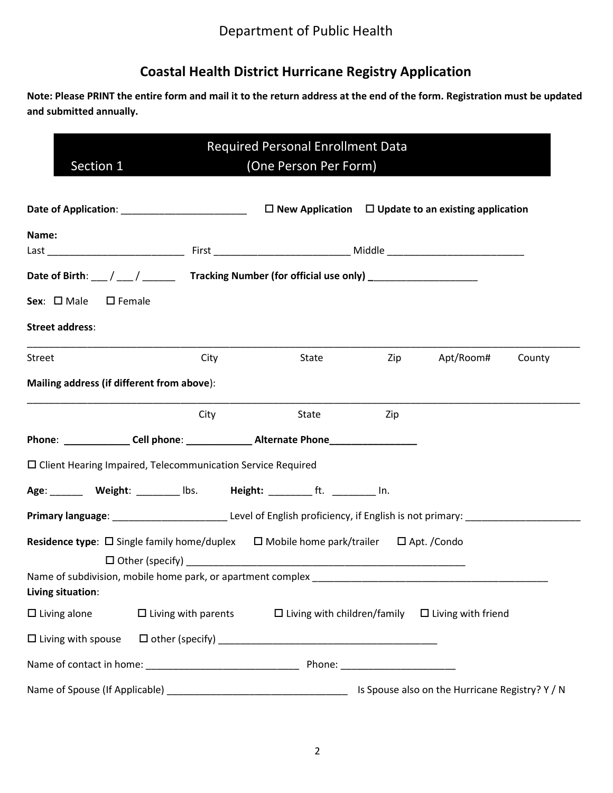# Coastal Health District Hurricane Registry Application

Note: Please PRINT the entire form and mail it to the return address at the end of the form. Registration must be updated and submitted annually.

| <b>Required Personal Enrollment Data</b><br>Section 1<br>(One Person Per Form)   |                            |                                                                                                                                        |     |                                                              |        |
|----------------------------------------------------------------------------------|----------------------------|----------------------------------------------------------------------------------------------------------------------------------------|-----|--------------------------------------------------------------|--------|
|                                                                                  |                            |                                                                                                                                        |     |                                                              |        |
| Name:                                                                            |                            |                                                                                                                                        |     |                                                              |        |
|                                                                                  |                            |                                                                                                                                        |     |                                                              |        |
|                                                                                  |                            | Date of Birth: ___/ ___/ __________Tracking Number (for official use only) ________________________                                    |     |                                                              |        |
| Sex: $\square$ Male<br>$\square$ Female                                          |                            |                                                                                                                                        |     |                                                              |        |
| <b>Street address:</b>                                                           |                            |                                                                                                                                        |     |                                                              |        |
| Street                                                                           | City                       | <b>State State</b>                                                                                                                     |     | Zip Apt/Room#                                                | County |
| Mailing address (if different from above):                                       |                            |                                                                                                                                        |     |                                                              |        |
|                                                                                  | City                       | State                                                                                                                                  | Zip |                                                              |        |
|                                                                                  |                            |                                                                                                                                        |     |                                                              |        |
| $\square$ Client Hearing Impaired, Telecommunication Service Required            |                            |                                                                                                                                        |     |                                                              |        |
|                                                                                  |                            | Age: Weight: _______ lbs. Height: ________ ft. ________ In.                                                                            |     |                                                              |        |
|                                                                                  |                            | Primary language: ________________________________Level of English proficiency, if English is not primary: ___________________________ |     |                                                              |        |
|                                                                                  |                            | Residence type: $\Box$ Single family home/duplex $\Box$ Mobile home park/trailer $\Box$ Apt. /Condo                                    |     |                                                              |        |
|                                                                                  |                            |                                                                                                                                        |     |                                                              |        |
| Name of subdivision, mobile home park, or apartment complex<br>Living situation: |                            |                                                                                                                                        |     |                                                              |        |
| $\Box$ Living alone                                                              | $\Box$ Living with parents |                                                                                                                                        |     | $\Box$ Living with children/family $\Box$ Living with friend |        |
| $\Box$ Living with spouse                                                        |                            |                                                                                                                                        |     |                                                              |        |
|                                                                                  |                            |                                                                                                                                        |     |                                                              |        |
|                                                                                  |                            |                                                                                                                                        |     | Is Spouse also on the Hurricane Registry? Y / N              |        |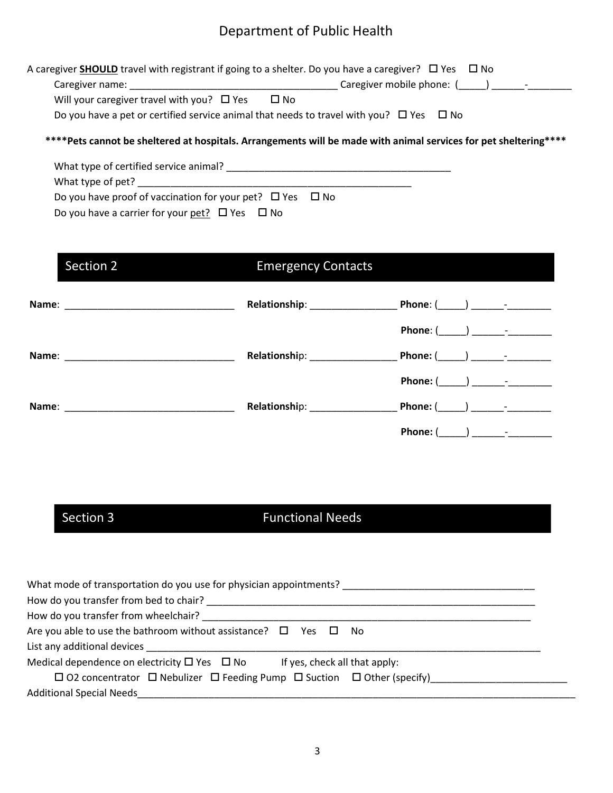| Caregiver name:                                 |                                                                                                   |
|-------------------------------------------------|---------------------------------------------------------------------------------------------------|
| Will your caregiver travel with you? $\Box$ Yes | $\square$ No                                                                                      |
|                                                 | Do you have a pet or certified service animal that needs to travel with you? $\Box$ Yes $\Box$ No |

 What type of certified service animal? \_\_\_\_\_\_\_\_\_\_\_\_\_\_\_\_\_\_\_\_\_\_\_\_\_\_\_\_\_\_\_\_\_\_\_\_\_\_\_\_\_ What type of pet? \_\_\_\_\_\_\_\_\_\_\_\_\_\_\_\_\_\_\_\_\_\_\_\_\_\_\_\_\_\_\_\_\_\_\_\_\_\_\_\_\_\_\_\_\_\_\_\_\_\_ Do you have proof of vaccination for your pet?  $\Box$  Yes  $\Box$  No Do you have a carrier for your pet?  $\Box$  Yes  $\Box$  No

# Section 2 **Emergency Contacts**

| Name:                                                                                                                          | Relationship: ______________ | Phone: $(\_\_\_) \_\_\_\_$ -       |
|--------------------------------------------------------------------------------------------------------------------------------|------------------------------|------------------------------------|
|                                                                                                                                |                              |                                    |
| Name:<br><u> 1999 - Johann John Stone, markin film yn y system yn y breninnas y breninnas y breninnas y breninnas y brenin</u> | Relationship: Nelationship:  |                                    |
|                                                                                                                                |                              | $Phone: ($ $)$ $-$                 |
| Name:                                                                                                                          | Relationship: Nelationship:  | Phone: (_______) ________-________ |
|                                                                                                                                |                              | Phone: (                           |

# Section 3 Functional Needs

| What mode of transportation do you use for physician appointments?                                |  |
|---------------------------------------------------------------------------------------------------|--|
|                                                                                                   |  |
| How do you transfer from wheelchair?                                                              |  |
| Are you able to use the bathroom without assistance? $\Box$ Yes $\Box$ No                         |  |
|                                                                                                   |  |
| Medical dependence on electricity $\Box$ Yes $\Box$ No<br>If yes, check all that apply:           |  |
| $\Box$ O2 concentrator $\Box$ Nebulizer $\Box$ Feeding Pump $\Box$ Suction $\Box$ Other (specify) |  |
| <b>Additional Special Needs</b>                                                                   |  |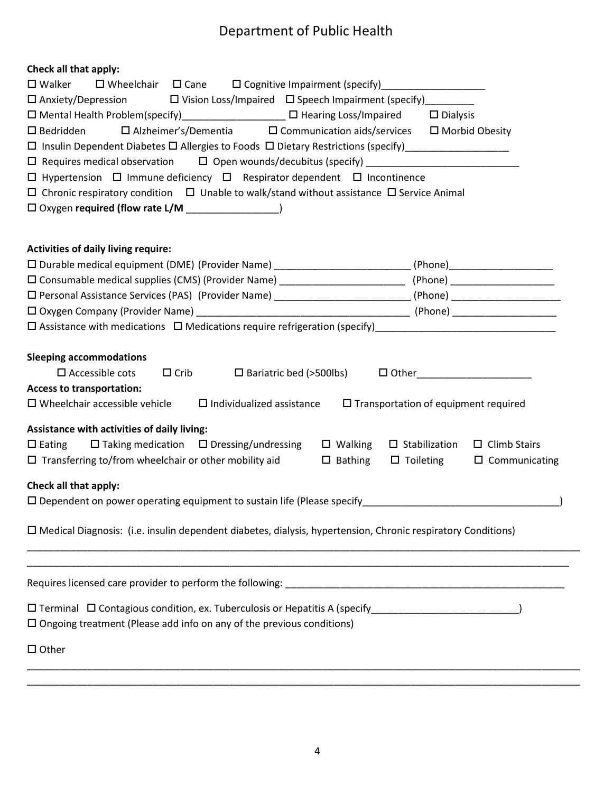| Check all that apply:                                                                                                                                                                                                                                                                                                                                                                                                                                                                                                                                                                                                                                     |                                                                                                                                           |  |  |  |
|-----------------------------------------------------------------------------------------------------------------------------------------------------------------------------------------------------------------------------------------------------------------------------------------------------------------------------------------------------------------------------------------------------------------------------------------------------------------------------------------------------------------------------------------------------------------------------------------------------------------------------------------------------------|-------------------------------------------------------------------------------------------------------------------------------------------|--|--|--|
| $\square$ Walker<br>$\square$ Wheelchair $\square$ Cane $\square$ Cognitive Impairment (specify) __________________                                                                                                                                                                                                                                                                                                                                                                                                                                                                                                                                       |                                                                                                                                           |  |  |  |
| $\Box$ Anxiety/Depression $\Box$ Vision Loss/Impaired $\Box$ Speech Impairment (specify) ________                                                                                                                                                                                                                                                                                                                                                                                                                                                                                                                                                         |                                                                                                                                           |  |  |  |
| □ Mental Health Problem(specify)_________________ □ Hearing Loss/Impaired □ Dialysis                                                                                                                                                                                                                                                                                                                                                                                                                                                                                                                                                                      |                                                                                                                                           |  |  |  |
| $\Box$ Alzheimer's/Dementia $\Box$ Communication aids/services $\Box$ Morbid Obesity<br>$\square$ Bedridden                                                                                                                                                                                                                                                                                                                                                                                                                                                                                                                                               |                                                                                                                                           |  |  |  |
|                                                                                                                                                                                                                                                                                                                                                                                                                                                                                                                                                                                                                                                           |                                                                                                                                           |  |  |  |
|                                                                                                                                                                                                                                                                                                                                                                                                                                                                                                                                                                                                                                                           |                                                                                                                                           |  |  |  |
| $\Box$ Hypertension $\Box$ Immune deficiency $\Box$ Respirator dependent $\Box$ Incontinence                                                                                                                                                                                                                                                                                                                                                                                                                                                                                                                                                              |                                                                                                                                           |  |  |  |
| $\Box$ Chronic respiratory condition $\Box$ Unable to walk/stand without assistance $\Box$ Service Animal                                                                                                                                                                                                                                                                                                                                                                                                                                                                                                                                                 |                                                                                                                                           |  |  |  |
| $\Box$ Oxygen required (flow rate L/M $\_\_\_\_\_\_\_\_\_\_\_\_\_$                                                                                                                                                                                                                                                                                                                                                                                                                                                                                                                                                                                        |                                                                                                                                           |  |  |  |
|                                                                                                                                                                                                                                                                                                                                                                                                                                                                                                                                                                                                                                                           |                                                                                                                                           |  |  |  |
| <b>Activities of daily living require:</b>                                                                                                                                                                                                                                                                                                                                                                                                                                                                                                                                                                                                                |                                                                                                                                           |  |  |  |
| D Durable medical equipment (DME) (Provider Name) ______________________________(Phone)______________________                                                                                                                                                                                                                                                                                                                                                                                                                                                                                                                                             |                                                                                                                                           |  |  |  |
| □ Consumable medical supplies (CMS) (Provider Name) ____________________________(Phone) ______________________                                                                                                                                                                                                                                                                                                                                                                                                                                                                                                                                            |                                                                                                                                           |  |  |  |
| □ Personal Assistance Services (PAS) (Provider Name) _________________________(Phone) ________________________                                                                                                                                                                                                                                                                                                                                                                                                                                                                                                                                            |                                                                                                                                           |  |  |  |
|                                                                                                                                                                                                                                                                                                                                                                                                                                                                                                                                                                                                                                                           |                                                                                                                                           |  |  |  |
|                                                                                                                                                                                                                                                                                                                                                                                                                                                                                                                                                                                                                                                           |                                                                                                                                           |  |  |  |
| <b>Sleeping accommodations</b><br>$\square$ Accessible cots<br>$\Box$ Crib<br><b>Access to transportation:</b><br>$\Box$ Wheelchair accessible vehicle $\Box$ Individualized assistance<br>Assistance with activities of daily living:<br>$\Box$ Taking medication $\Box$ Dressing/undressing<br>$\square$ Walking<br>$\Box$ Eating<br>$\Box$ Transferring to/from wheelchair or other mobility aid<br>$\Box$ Bathing<br>Check all that apply:<br>$\square$ Dependent on power operating equipment to sustain life (Please specify<br>$\Box$ Medical Diagnosis: (i.e. insulin dependent diabetes, dialysis, hypertension, Chronic respiratory Conditions) | $\Box$ Transportation of equipment required<br>$\Box$ Stabilization<br>$\Box$ Climb Stairs<br>$\square$ Toileting<br>$\Box$ Communicating |  |  |  |
| □ Terminal □ Contagious condition, ex. Tuberculosis or Hepatitis A (specify___________________________________<br>$\square$ Ongoing treatment (Please add info on any of the previous conditions)<br>$\Box$ Other                                                                                                                                                                                                                                                                                                                                                                                                                                         |                                                                                                                                           |  |  |  |
|                                                                                                                                                                                                                                                                                                                                                                                                                                                                                                                                                                                                                                                           |                                                                                                                                           |  |  |  |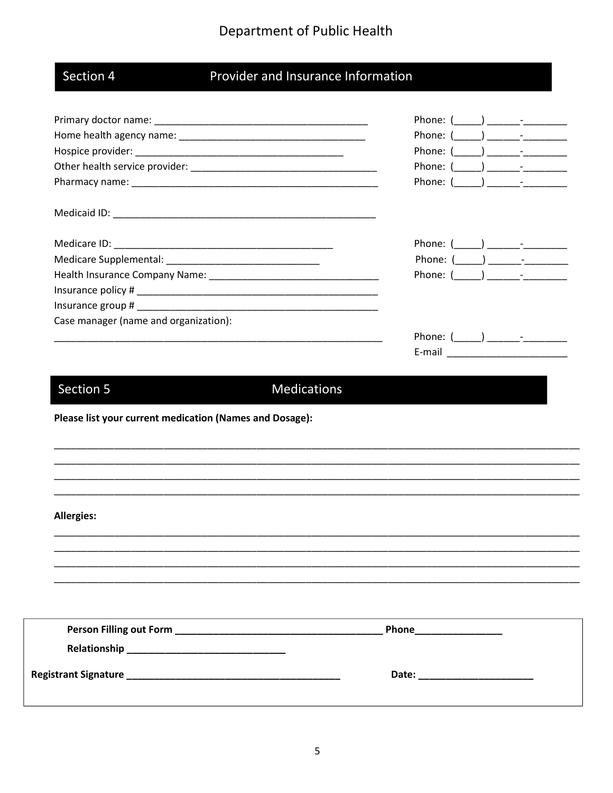|     |       | л |
|-----|-------|---|
| Seo | ction |   |
|     |       |   |

# Provider and Insurance Information

|                                                                                                                       | Phone: $($ $)$ $ -$                                                                                                                                                                                                                                                                                                                                                                                                                               |
|-----------------------------------------------------------------------------------------------------------------------|---------------------------------------------------------------------------------------------------------------------------------------------------------------------------------------------------------------------------------------------------------------------------------------------------------------------------------------------------------------------------------------------------------------------------------------------------|
|                                                                                                                       | Phone: $($ ) $)$                                                                                                                                                                                                                                                                                                                                                                                                                                  |
|                                                                                                                       | Phone: $($ ) $)$                                                                                                                                                                                                                                                                                                                                                                                                                                  |
|                                                                                                                       | Phone: (                                                                                                                                                                                                                                                                                                                                                                                                                                          |
|                                                                                                                       | Phone: (<br>$\begin{array}{ c c c c c c }\hline \rule{0pt}{1ex} & & & \\\hline \rule{0pt}{1ex} & & & \\\hline \rule{0pt}{1ex} & & & \\\hline \rule{0pt}{1ex} & & & \\\hline \rule{0pt}{1ex} & & & \\\hline \rule{0pt}{1ex} & & & \\\hline \rule{0pt}{1ex} & & & \\\hline \rule{0pt}{1ex} & & & \\\hline \rule{0pt}{1ex} & & & \\\hline \rule{0pt}{1ex} & & & \\\hline \rule{0pt}{1ex} & & & \\\hline \rule{0pt}{1ex} & & & \\\hline \rule{0pt}{1$ |
|                                                                                                                       |                                                                                                                                                                                                                                                                                                                                                                                                                                                   |
|                                                                                                                       | Phone: $(\_\_\_\_) \_\_\_\_\_$                                                                                                                                                                                                                                                                                                                                                                                                                    |
| Medicare Supplemental: _______________________________                                                                | Phone: $(\_\_\_\_\_\_\_\_\_$                                                                                                                                                                                                                                                                                                                                                                                                                      |
|                                                                                                                       |                                                                                                                                                                                                                                                                                                                                                                                                                                                   |
|                                                                                                                       |                                                                                                                                                                                                                                                                                                                                                                                                                                                   |
|                                                                                                                       |                                                                                                                                                                                                                                                                                                                                                                                                                                                   |
| Case manager (name and organization):                                                                                 |                                                                                                                                                                                                                                                                                                                                                                                                                                                   |
| <u> 1989 - Johann John Stoff, deutscher Stoffen und der Stoffen und der Stoffen und der Stoffen und der Stoffen u</u> | Phone: $($ $)$ $-$                                                                                                                                                                                                                                                                                                                                                                                                                                |
|                                                                                                                       |                                                                                                                                                                                                                                                                                                                                                                                                                                                   |
|                                                                                                                       |                                                                                                                                                                                                                                                                                                                                                                                                                                                   |
|                                                                                                                       |                                                                                                                                                                                                                                                                                                                                                                                                                                                   |
| Please list your current medication (Names and Dosage):                                                               |                                                                                                                                                                                                                                                                                                                                                                                                                                                   |
|                                                                                                                       |                                                                                                                                                                                                                                                                                                                                                                                                                                                   |
|                                                                                                                       |                                                                                                                                                                                                                                                                                                                                                                                                                                                   |
|                                                                                                                       |                                                                                                                                                                                                                                                                                                                                                                                                                                                   |
| <b>Allergies:</b>                                                                                                     |                                                                                                                                                                                                                                                                                                                                                                                                                                                   |
|                                                                                                                       |                                                                                                                                                                                                                                                                                                                                                                                                                                                   |